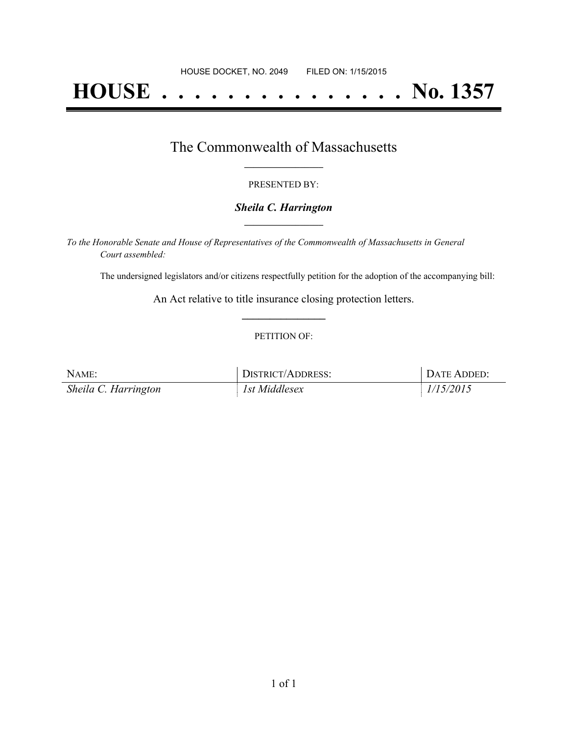# **HOUSE . . . . . . . . . . . . . . . No. 1357**

### The Commonwealth of Massachusetts **\_\_\_\_\_\_\_\_\_\_\_\_\_\_\_\_\_**

#### PRESENTED BY:

#### *Sheila C. Harrington* **\_\_\_\_\_\_\_\_\_\_\_\_\_\_\_\_\_**

*To the Honorable Senate and House of Representatives of the Commonwealth of Massachusetts in General Court assembled:*

The undersigned legislators and/or citizens respectfully petition for the adoption of the accompanying bill:

An Act relative to title insurance closing protection letters. **\_\_\_\_\_\_\_\_\_\_\_\_\_\_\_**

#### PETITION OF:

| NAME:                | <b>DISTRICT/ADDRESS:</b> | DATE ADDED: |
|----------------------|--------------------------|-------------|
| Sheila C. Harrington | 1st Middlesex            | 1/15/2015   |